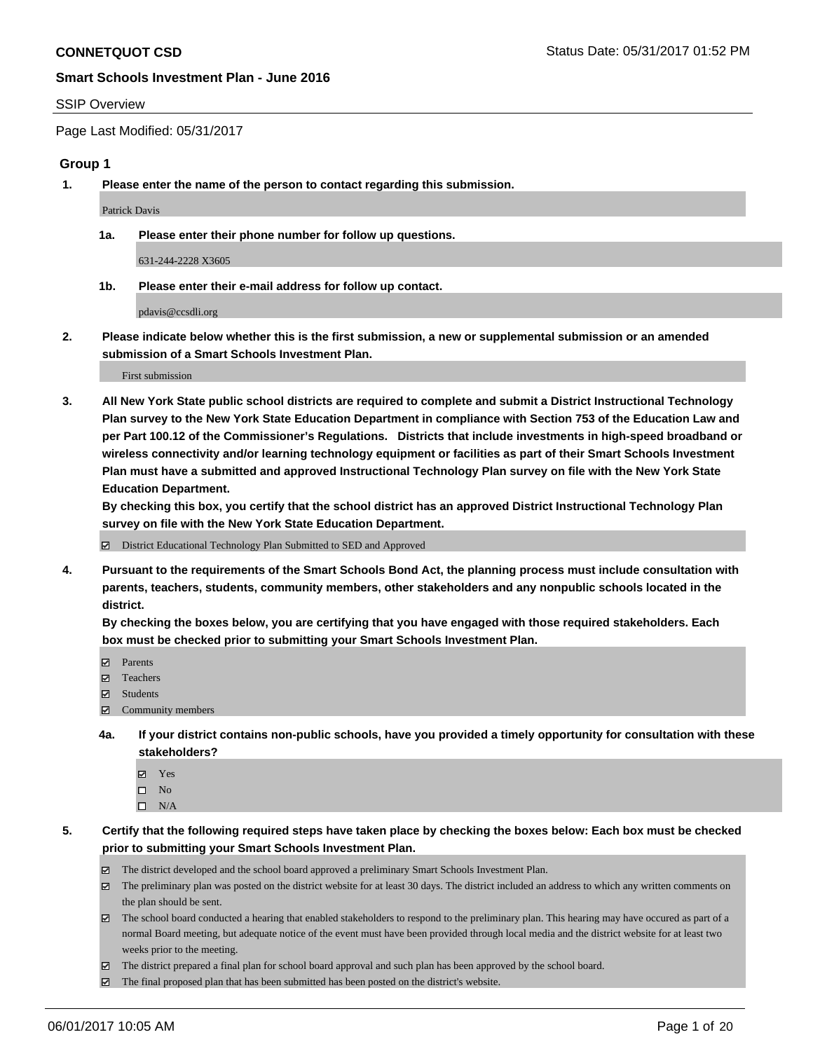#### SSIP Overview

Page Last Modified: 05/31/2017

#### **Group 1**

**1. Please enter the name of the person to contact regarding this submission.**

Patrick Davis

**1a. Please enter their phone number for follow up questions.**

631-244-2228 X3605

**1b. Please enter their e-mail address for follow up contact.**

pdavis@ccsdli.org

**2. Please indicate below whether this is the first submission, a new or supplemental submission or an amended submission of a Smart Schools Investment Plan.**

First submission

**3. All New York State public school districts are required to complete and submit a District Instructional Technology Plan survey to the New York State Education Department in compliance with Section 753 of the Education Law and per Part 100.12 of the Commissioner's Regulations. Districts that include investments in high-speed broadband or wireless connectivity and/or learning technology equipment or facilities as part of their Smart Schools Investment Plan must have a submitted and approved Instructional Technology Plan survey on file with the New York State Education Department.** 

**By checking this box, you certify that the school district has an approved District Instructional Technology Plan survey on file with the New York State Education Department.**

District Educational Technology Plan Submitted to SED and Approved

**4. Pursuant to the requirements of the Smart Schools Bond Act, the planning process must include consultation with parents, teachers, students, community members, other stakeholders and any nonpublic schools located in the district.** 

**By checking the boxes below, you are certifying that you have engaged with those required stakeholders. Each box must be checked prior to submitting your Smart Schools Investment Plan.**

- **マ** Parents
- □ Teachers
- Students
- $\Xi$  Community members
- **4a. If your district contains non-public schools, have you provided a timely opportunity for consultation with these stakeholders?**
	- Yes
	- $\hfill \square$  No
	- $\square$  N/A
- **5. Certify that the following required steps have taken place by checking the boxes below: Each box must be checked prior to submitting your Smart Schools Investment Plan.**
	- The district developed and the school board approved a preliminary Smart Schools Investment Plan.
	- $\boxtimes$  The preliminary plan was posted on the district website for at least 30 days. The district included an address to which any written comments on the plan should be sent.
	- $\boxtimes$  The school board conducted a hearing that enabled stakeholders to respond to the preliminary plan. This hearing may have occured as part of a normal Board meeting, but adequate notice of the event must have been provided through local media and the district website for at least two weeks prior to the meeting.
	- The district prepared a final plan for school board approval and such plan has been approved by the school board.
	- $\boxtimes$  The final proposed plan that has been submitted has been posted on the district's website.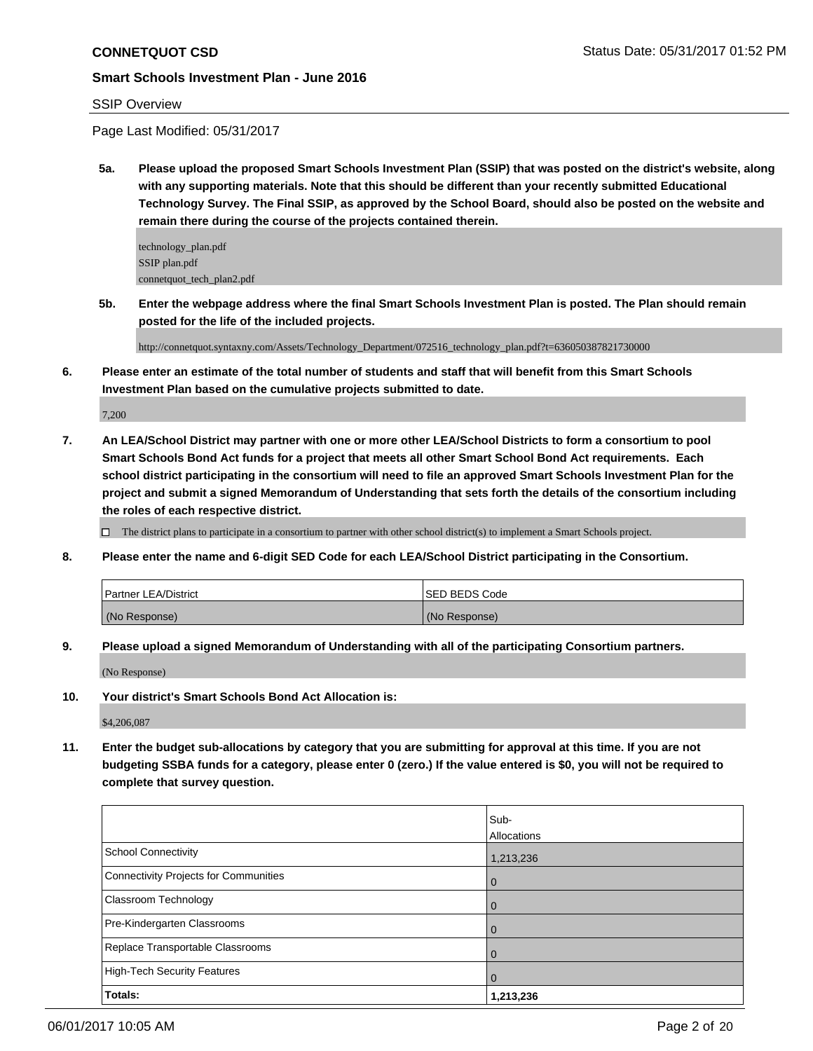#### SSIP Overview

Page Last Modified: 05/31/2017

**5a. Please upload the proposed Smart Schools Investment Plan (SSIP) that was posted on the district's website, along with any supporting materials. Note that this should be different than your recently submitted Educational Technology Survey. The Final SSIP, as approved by the School Board, should also be posted on the website and remain there during the course of the projects contained therein.**

technology\_plan.pdf SSIP plan.pdf connetquot\_tech\_plan2.pdf

**5b. Enter the webpage address where the final Smart Schools Investment Plan is posted. The Plan should remain posted for the life of the included projects.**

http://connetquot.syntaxny.com/Assets/Technology\_Department/072516\_technology\_plan.pdf?t=636050387821730000

**6. Please enter an estimate of the total number of students and staff that will benefit from this Smart Schools Investment Plan based on the cumulative projects submitted to date.**

7,200

**7. An LEA/School District may partner with one or more other LEA/School Districts to form a consortium to pool Smart Schools Bond Act funds for a project that meets all other Smart School Bond Act requirements. Each school district participating in the consortium will need to file an approved Smart Schools Investment Plan for the project and submit a signed Memorandum of Understanding that sets forth the details of the consortium including the roles of each respective district.**

 $\Box$  The district plans to participate in a consortium to partner with other school district(s) to implement a Smart Schools project.

**8. Please enter the name and 6-digit SED Code for each LEA/School District participating in the Consortium.**

| <b>Partner LEA/District</b> | ISED BEDS Code |
|-----------------------------|----------------|
| (No Response)               | (No Response)  |

**9. Please upload a signed Memorandum of Understanding with all of the participating Consortium partners.**

(No Response)

**10. Your district's Smart Schools Bond Act Allocation is:**

\$4,206,087

**11. Enter the budget sub-allocations by category that you are submitting for approval at this time. If you are not budgeting SSBA funds for a category, please enter 0 (zero.) If the value entered is \$0, you will not be required to complete that survey question.**

|                                              | Sub-        |
|----------------------------------------------|-------------|
|                                              | Allocations |
| <b>School Connectivity</b>                   | 1,213,236   |
| <b>Connectivity Projects for Communities</b> | O           |
| <b>Classroom Technology</b>                  |             |
| Pre-Kindergarten Classrooms                  |             |
| Replace Transportable Classrooms             |             |
| <b>High-Tech Security Features</b>           | O           |
| Totals:                                      | 1,213,236   |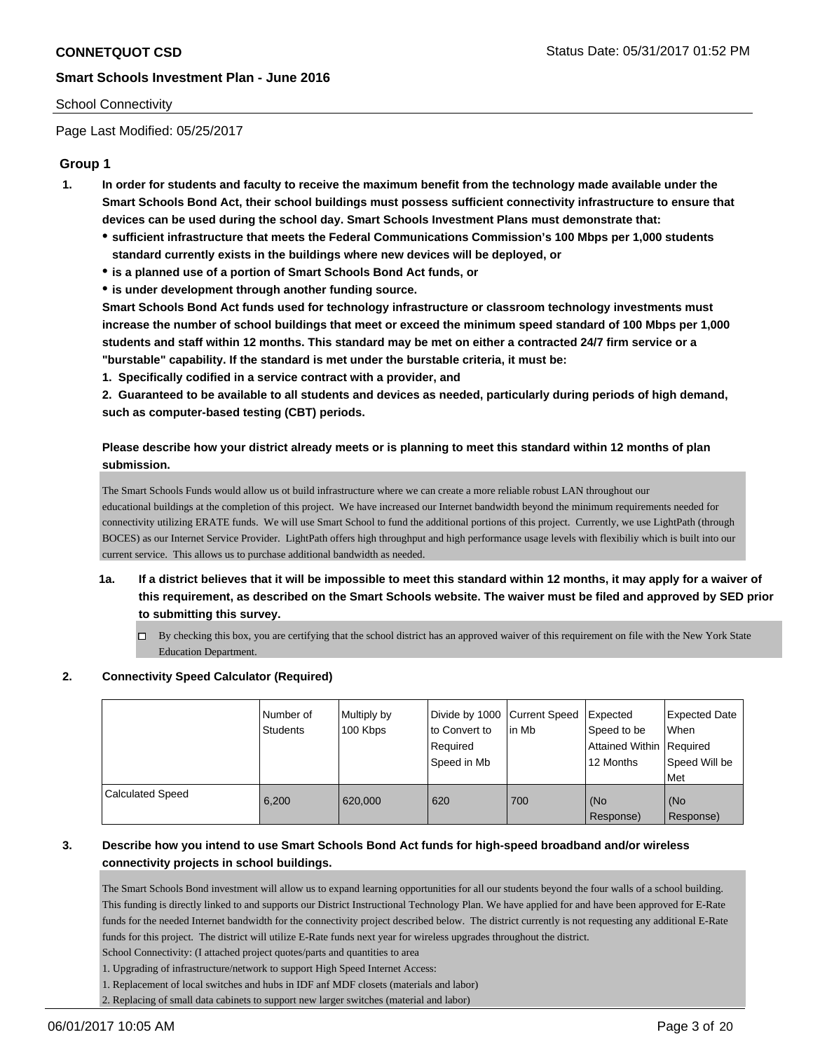## School Connectivity

Page Last Modified: 05/25/2017

# **Group 1**

- **1. In order for students and faculty to receive the maximum benefit from the technology made available under the Smart Schools Bond Act, their school buildings must possess sufficient connectivity infrastructure to ensure that devices can be used during the school day. Smart Schools Investment Plans must demonstrate that:**
	- **sufficient infrastructure that meets the Federal Communications Commission's 100 Mbps per 1,000 students standard currently exists in the buildings where new devices will be deployed, or**
	- **is a planned use of a portion of Smart Schools Bond Act funds, or**
	- **is under development through another funding source.**

**Smart Schools Bond Act funds used for technology infrastructure or classroom technology investments must increase the number of school buildings that meet or exceed the minimum speed standard of 100 Mbps per 1,000 students and staff within 12 months. This standard may be met on either a contracted 24/7 firm service or a "burstable" capability. If the standard is met under the burstable criteria, it must be:**

**1. Specifically codified in a service contract with a provider, and**

**2. Guaranteed to be available to all students and devices as needed, particularly during periods of high demand, such as computer-based testing (CBT) periods.**

# **Please describe how your district already meets or is planning to meet this standard within 12 months of plan submission.**

The Smart Schools Funds would allow us ot build infrastructure where we can create a more reliable robust LAN throughout our educational buildings at the completion of this project. We have increased our Internet bandwidth beyond the minimum requirements needed for connectivity utilizing ERATE funds. We will use Smart School to fund the additional portions of this project. Currently, we use LightPath (through BOCES) as our Internet Service Provider. LightPath offers high throughput and high performance usage levels with flexibiliy which is built into our current service. This allows us to purchase additional bandwidth as needed.

- **1a. If a district believes that it will be impossible to meet this standard within 12 months, it may apply for a waiver of this requirement, as described on the Smart Schools website. The waiver must be filed and approved by SED prior to submitting this survey.**
	- By checking this box, you are certifying that the school district has an approved waiver of this requirement on file with the New York State Education Department.

# **2. Connectivity Speed Calculator (Required)**

|                         | Number of<br><b>Students</b> | Multiply by<br>100 Kbps | Divide by 1000 Current Speed<br>to Convert to<br>Required<br>Speed in Mb | lin Mb | Expected<br>Speed to be<br>Attained Within   Required<br>12 Months | <b>Expected Date</b><br>When<br>Speed Will be<br>l Met |
|-------------------------|------------------------------|-------------------------|--------------------------------------------------------------------------|--------|--------------------------------------------------------------------|--------------------------------------------------------|
| <b>Calculated Speed</b> | 6,200                        | 620,000                 | 620                                                                      | 700    | (No<br>Response)                                                   | (No<br>Response)                                       |

# **3. Describe how you intend to use Smart Schools Bond Act funds for high-speed broadband and/or wireless connectivity projects in school buildings.**

The Smart Schools Bond investment will allow us to expand learning opportunities for all our students beyond the four walls of a school building. This funding is directly linked to and supports our District Instructional Technology Plan. We have applied for and have been approved for E-Rate funds for the needed Internet bandwidth for the connectivity project described below. The district currently is not requesting any additional E-Rate funds for this project. The district will utilize E-Rate funds next year for wireless upgrades throughout the district.

School Connectivity: (I attached project quotes/parts and quantities to area

1. Upgrading of infrastructure/network to support High Speed Internet Access:

1. Replacement of local switches and hubs in IDF anf MDF closets (materials and labor)

2. Replacing of small data cabinets to support new larger switches (material and labor)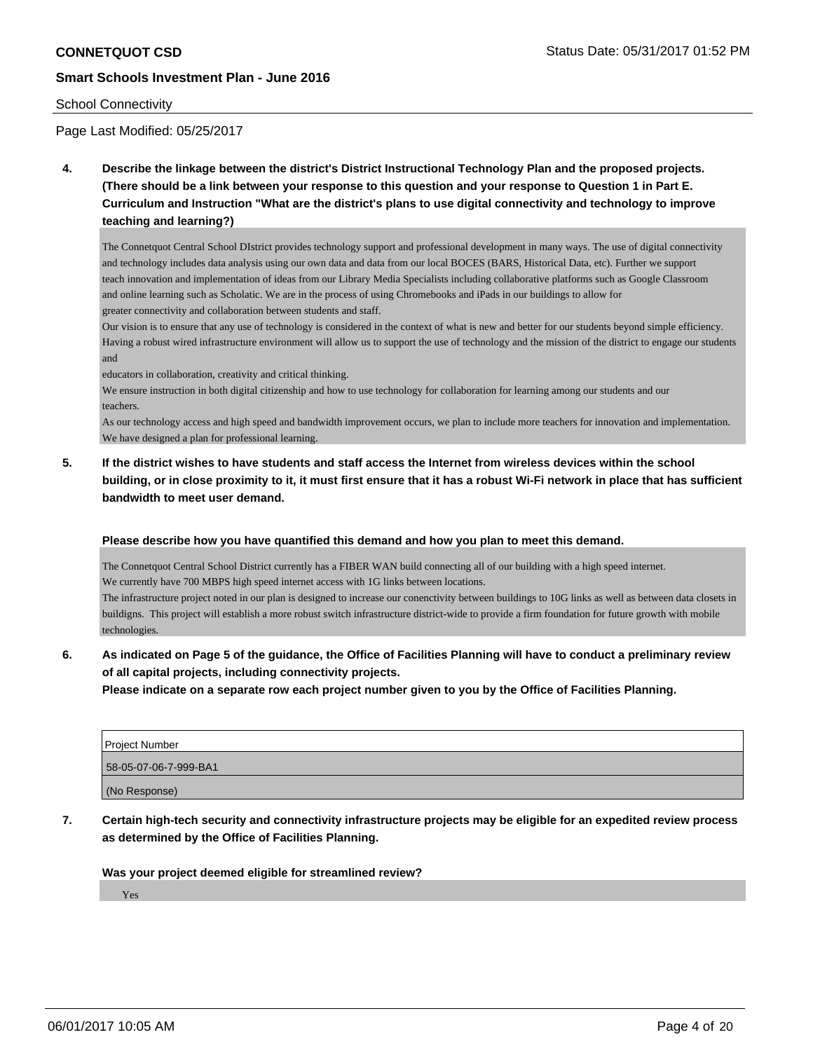#### School Connectivity

Page Last Modified: 05/25/2017

**4. Describe the linkage between the district's District Instructional Technology Plan and the proposed projects. (There should be a link between your response to this question and your response to Question 1 in Part E. Curriculum and Instruction "What are the district's plans to use digital connectivity and technology to improve teaching and learning?)**

The Connetquot Central School DIstrict provides technology support and professional development in many ways. The use of digital connectivity and technology includes data analysis using our own data and data from our local BOCES (BARS, Historical Data, etc). Further we support teach innovation and implementation of ideas from our Library Media Specialists including collaborative platforms such as Google Classroom and online learning such as Scholatic. We are in the process of using Chromebooks and iPads in our buildings to allow for greater connectivity and collaboration between students and staff.

Our vision is to ensure that any use of technology is considered in the context of what is new and better for our students beyond simple efficiency. Having a robust wired infrastructure environment will allow us to support the use of technology and the mission of the district to engage our students and

educators in collaboration, creativity and critical thinking.

We ensure instruction in both digital citizenship and how to use technology for collaboration for learning among our students and our teachers.

As our technology access and high speed and bandwidth improvement occurs, we plan to include more teachers for innovation and implementation. We have designed a plan for professional learning.

**5. If the district wishes to have students and staff access the Internet from wireless devices within the school building, or in close proximity to it, it must first ensure that it has a robust Wi-Fi network in place that has sufficient bandwidth to meet user demand.**

#### **Please describe how you have quantified this demand and how you plan to meet this demand.**

The Connetquot Central School District currently has a FIBER WAN build connecting all of our building with a high speed internet. We currently have 700 MBPS high speed internet access with 1G links between locations.

The infrastructure project noted in our plan is designed to increase our conenctivity between buildings to 10G links as well as between data closets in buildigns. This project will establish a more robust switch infrastructure district-wide to provide a firm foundation for future growth with mobile technologies.

# **6. As indicated on Page 5 of the guidance, the Office of Facilities Planning will have to conduct a preliminary review of all capital projects, including connectivity projects.**

**Please indicate on a separate row each project number given to you by the Office of Facilities Planning.**

| <b>Project Number</b> |
|-----------------------|
| 58-05-07-06-7-999-BA1 |
| (No Response)         |

**7. Certain high-tech security and connectivity infrastructure projects may be eligible for an expedited review process as determined by the Office of Facilities Planning.**

#### **Was your project deemed eligible for streamlined review?**

Yes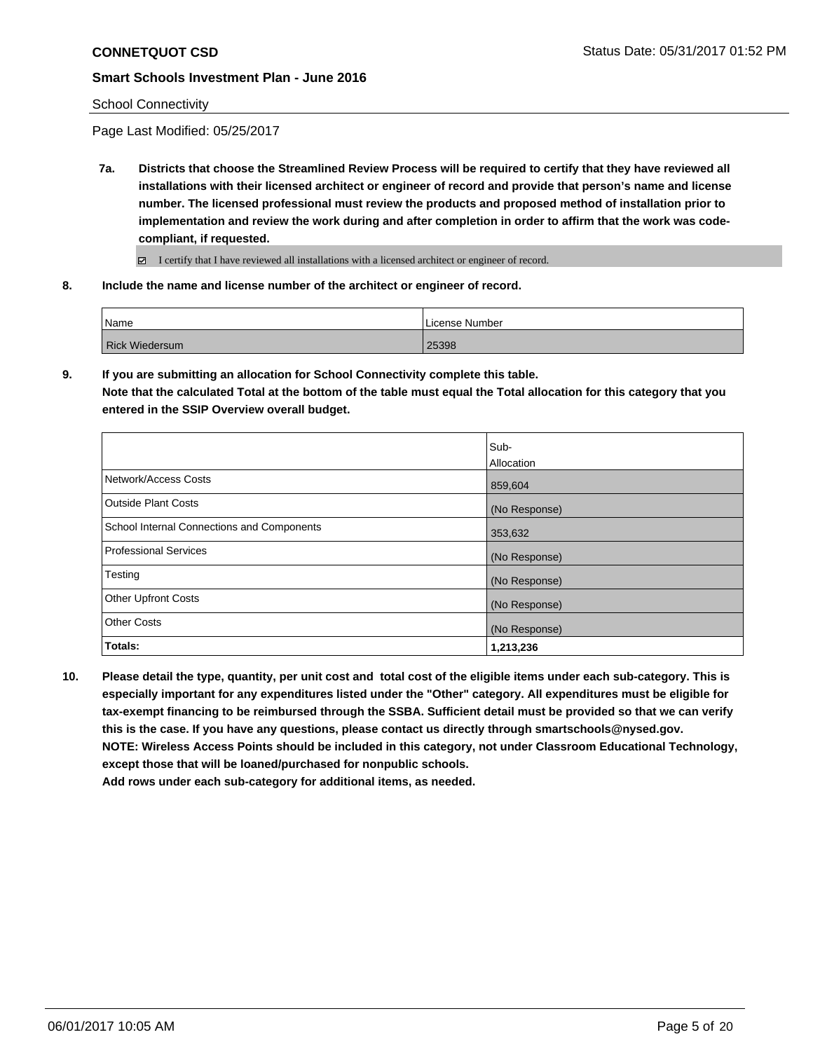#### School Connectivity

Page Last Modified: 05/25/2017

**7a. Districts that choose the Streamlined Review Process will be required to certify that they have reviewed all installations with their licensed architect or engineer of record and provide that person's name and license number. The licensed professional must review the products and proposed method of installation prior to implementation and review the work during and after completion in order to affirm that the work was codecompliant, if requested.**

I certify that I have reviewed all installations with a licensed architect or engineer of record.

**8. Include the name and license number of the architect or engineer of record.**

| Name                  | License Number |
|-----------------------|----------------|
| <b>Rick Wiedersum</b> | 25398          |

**9. If you are submitting an allocation for School Connectivity complete this table. Note that the calculated Total at the bottom of the table must equal the Total allocation for this category that you entered in the SSIP Overview overall budget.** 

|                                            | Sub-<br>Allocation |
|--------------------------------------------|--------------------|
| Network/Access Costs                       | 859,604            |
| <b>Outside Plant Costs</b>                 | (No Response)      |
| School Internal Connections and Components | 353,632            |
| <b>Professional Services</b>               | (No Response)      |
| Testing                                    | (No Response)      |
| <b>Other Upfront Costs</b>                 | (No Response)      |
| <b>Other Costs</b>                         | (No Response)      |
| Totals:                                    | 1,213,236          |

**10. Please detail the type, quantity, per unit cost and total cost of the eligible items under each sub-category. This is especially important for any expenditures listed under the "Other" category. All expenditures must be eligible for tax-exempt financing to be reimbursed through the SSBA. Sufficient detail must be provided so that we can verify this is the case. If you have any questions, please contact us directly through smartschools@nysed.gov. NOTE: Wireless Access Points should be included in this category, not under Classroom Educational Technology, except those that will be loaned/purchased for nonpublic schools.**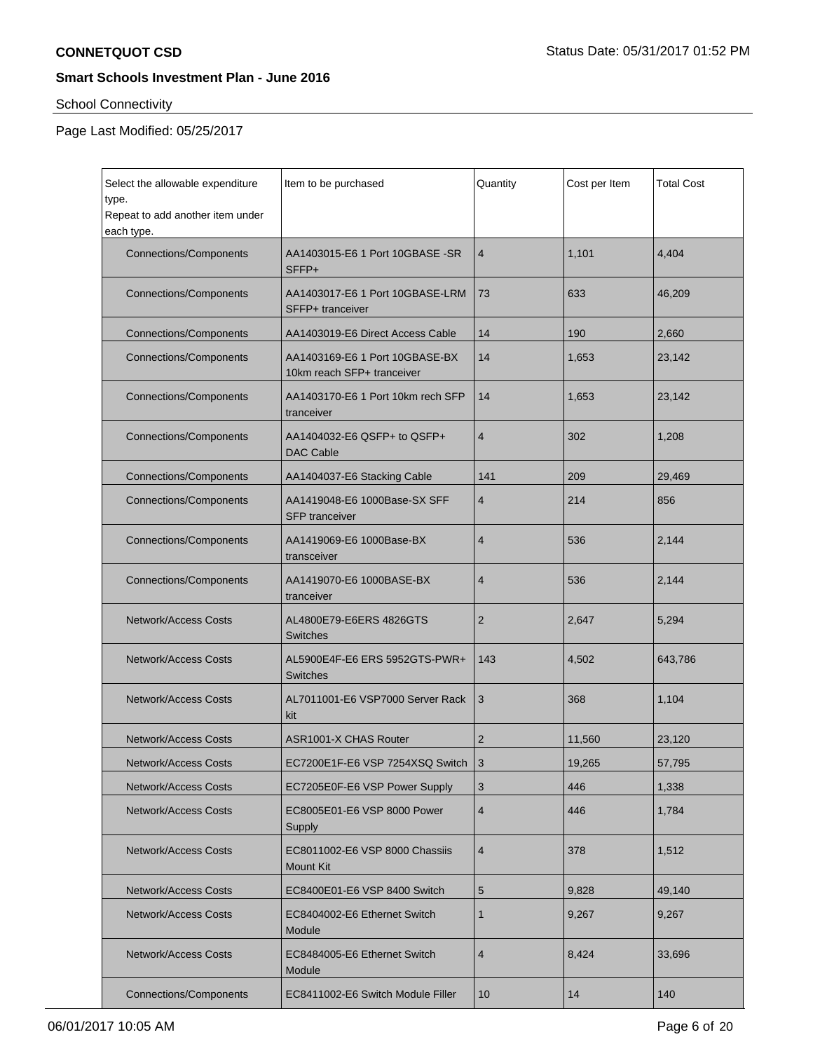# School Connectivity

| Select the allowable expenditure               | Item to be purchased                                                    | Quantity       | Cost per Item | <b>Total Cost</b> |
|------------------------------------------------|-------------------------------------------------------------------------|----------------|---------------|-------------------|
| type.                                          |                                                                         |                |               |                   |
| Repeat to add another item under<br>each type. |                                                                         |                |               |                   |
| <b>Connections/Components</b>                  | AA1403015-E6 1 Port 10GBASE -SR<br>SFFP+                                | 4              | 1,101         | 4,404             |
| <b>Connections/Components</b>                  | AA1403017-E6 1 Port 10GBASE-LRM<br>SFFP+ tranceiver                     | 73             | 633           | 46,209            |
| <b>Connections/Components</b>                  | AA1403019-E6 Direct Access Cable                                        | 14             | 190           | 2,660             |
| <b>Connections/Components</b>                  | AA1403169-E6 1 Port 10GBASE-BX<br>10km reach SFP+ tranceiver            | 14             | 1,653         | 23,142            |
| <b>Connections/Components</b>                  | AA1403170-E6 1 Port 10km rech SFP<br>tranceiver                         | 14             | 1,653         | 23,142            |
| <b>Connections/Components</b>                  | AA1404032-E6 QSFP+ to QSFP+<br><b>DAC Cable</b>                         | $\overline{4}$ | 302           | 1,208             |
| <b>Connections/Components</b>                  | AA1404037-E6 Stacking Cable                                             | 141            | 209           | 29,469            |
| <b>Connections/Components</b>                  | AA1419048-E6 1000Base-SX SFF<br>$\overline{4}$<br><b>SFP</b> tranceiver |                | 214           | 856               |
| <b>Connections/Components</b>                  | AA1419069-E6 1000Base-BX<br>transceiver                                 | 4              | 536           | 2,144             |
| <b>Connections/Components</b>                  | AA1419070-E6 1000BASE-BX<br>tranceiver                                  | 4              | 536           | 2,144             |
| <b>Network/Access Costs</b>                    | AL4800E79-E6ERS 4826GTS<br><b>Switches</b>                              | $\overline{2}$ | 2,647         | 5,294             |
| <b>Network/Access Costs</b>                    | AL5900E4F-E6 ERS 5952GTS-PWR+<br><b>Switches</b>                        | 143            | 4,502         | 643,786           |
| <b>Network/Access Costs</b>                    | AL7011001-E6 VSP7000 Server Rack<br>kit                                 | 3              | 368           | 1,104             |
| <b>Network/Access Costs</b>                    | ASR1001-X CHAS Router                                                   | 2              | 11,560        | 23,120            |
| Network/Access Costs                           | EC7200E1F-E6 VSP 7254XSQ Switch   3                                     |                | 19,265        | 57,795            |
| <b>Network/Access Costs</b>                    | EC7205E0F-E6 VSP Power Supply                                           | 3              | 446           | 1,338             |
| <b>Network/Access Costs</b>                    | EC8005E01-E6 VSP 8000 Power<br>Supply                                   | $\overline{4}$ | 446           | 1,784             |
| <b>Network/Access Costs</b>                    | EC8011002-E6 VSP 8000 Chassiis<br><b>Mount Kit</b>                      | $\overline{4}$ | 378           | 1,512             |
| <b>Network/Access Costs</b>                    | EC8400E01-E6 VSP 8400 Switch                                            | 5              | 9,828         | 49,140            |
| <b>Network/Access Costs</b>                    | EC8404002-E6 Ethernet Switch<br>Module                                  | $\mathbf{1}$   | 9,267         | 9,267             |
| <b>Network/Access Costs</b>                    | EC8484005-E6 Ethernet Switch<br>Module                                  | $\overline{4}$ | 8,424         | 33,696            |
| <b>Connections/Components</b>                  | EC8411002-E6 Switch Module Filler                                       | 10             | 14            | 140               |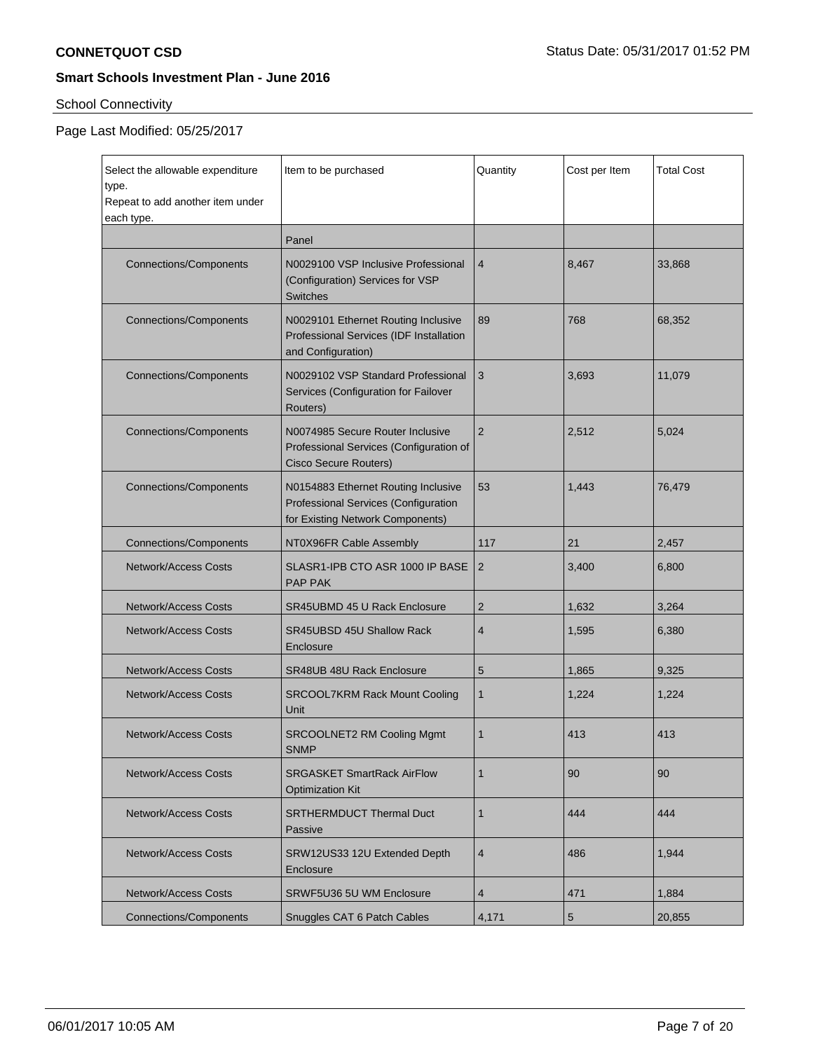# School Connectivity

| Select the allowable expenditure<br>type.<br>Repeat to add another item under<br>each type. | Item to be purchased                                                                                            | Quantity       | Cost per Item | <b>Total Cost</b> |
|---------------------------------------------------------------------------------------------|-----------------------------------------------------------------------------------------------------------------|----------------|---------------|-------------------|
|                                                                                             | Panel                                                                                                           |                |               |                   |
| <b>Connections/Components</b>                                                               | N0029100 VSP Inclusive Professional<br>(Configuration) Services for VSP<br><b>Switches</b>                      | 4              | 8,467         | 33,868            |
| <b>Connections/Components</b>                                                               | N0029101 Ethernet Routing Inclusive<br>Professional Services (IDF Installation<br>and Configuration)            | 89             | 768           | 68,352            |
| <b>Connections/Components</b>                                                               | N0029102 VSP Standard Professional<br>Services (Configuration for Failover<br>Routers)                          | 3              | 3,693         | 11,079            |
| <b>Connections/Components</b>                                                               | N0074985 Secure Router Inclusive<br>Professional Services (Configuration of<br><b>Cisco Secure Routers)</b>     | $\overline{2}$ | 2,512         | 5,024             |
| <b>Connections/Components</b>                                                               | N0154883 Ethernet Routing Inclusive<br>Professional Services (Configuration<br>for Existing Network Components) | 53             | 1,443         | 76,479            |
| <b>Connections/Components</b>                                                               | NT0X96FR Cable Assembly                                                                                         | 117            | 21            | 2,457             |
| <b>Network/Access Costs</b>                                                                 | SLASR1-IPB CTO ASR 1000 IP BASE<br><b>PAP PAK</b>                                                               | 2              | 3,400         | 6,800             |
| <b>Network/Access Costs</b>                                                                 | SR45UBMD 45 U Rack Enclosure                                                                                    | 2              | 1,632         | 3,264             |
| <b>Network/Access Costs</b>                                                                 | <b>SR45UBSD 45U Shallow Rack</b><br>Enclosure                                                                   | 4              | 1,595         | 6,380             |
| <b>Network/Access Costs</b>                                                                 | <b>SR48UB 48U Rack Enclosure</b>                                                                                | 5              | 1.865         | 9,325             |
| <b>Network/Access Costs</b>                                                                 | <b>SRCOOL7KRM Rack Mount Cooling</b><br>Unit                                                                    | $\mathbf{1}$   | 1,224         | 1,224             |
| <b>Network/Access Costs</b>                                                                 | <b>SRCOOLNET2 RM Cooling Mgmt</b><br><b>SNMP</b>                                                                | $\mathbf{1}$   | 413           | 413               |
| <b>Network/Access Costs</b>                                                                 | <b>SRGASKET SmartRack AirFlow</b><br><b>Optimization Kit</b>                                                    | $\mathbf{1}$   | 90            | 90                |
| <b>Network/Access Costs</b>                                                                 | <b>SRTHERMDUCT Thermal Duct</b><br>Passive                                                                      | $\mathbf{1}$   | 444           | 444               |
| <b>Network/Access Costs</b>                                                                 | SRW12US33 12U Extended Depth<br>Enclosure                                                                       | 4              | 486           | 1,944             |
| <b>Network/Access Costs</b>                                                                 | SRWF5U36 5U WM Enclosure                                                                                        | 4              | 471           | 1,884             |
| Connections/Components                                                                      | Snuggles CAT 6 Patch Cables                                                                                     | 4,171          | 5             | 20,855            |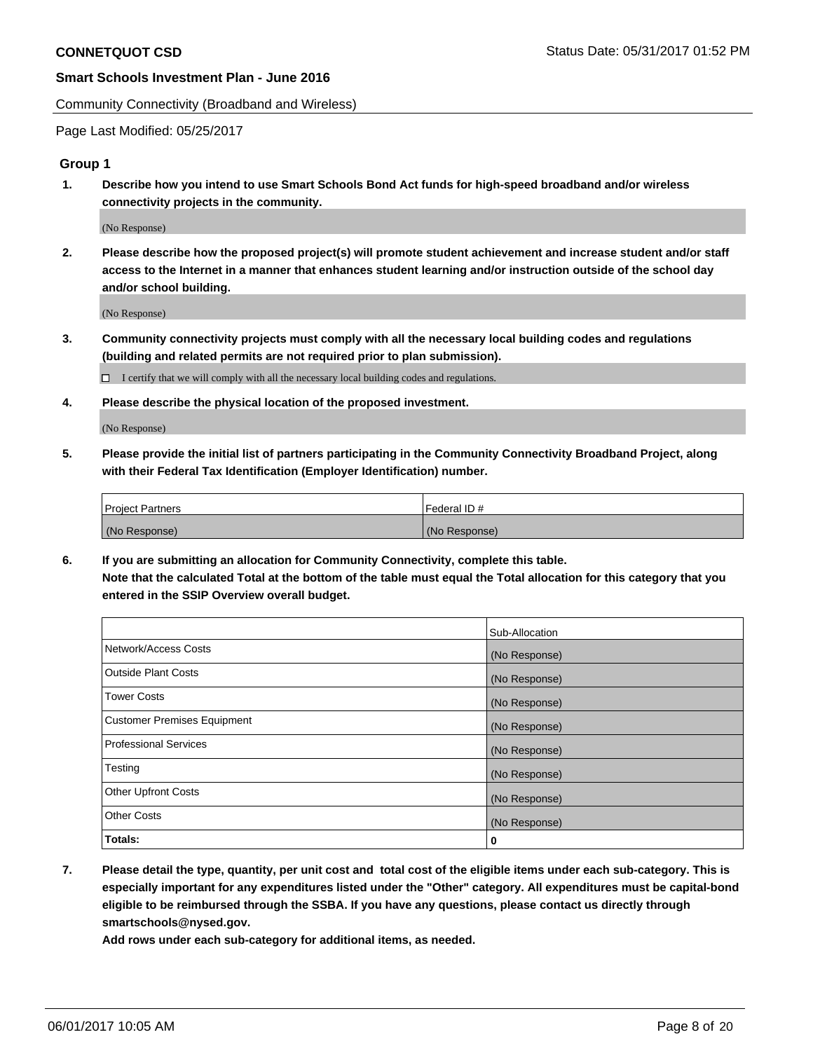Community Connectivity (Broadband and Wireless)

Page Last Modified: 05/25/2017

## **Group 1**

**1. Describe how you intend to use Smart Schools Bond Act funds for high-speed broadband and/or wireless connectivity projects in the community.**

(No Response)

**2. Please describe how the proposed project(s) will promote student achievement and increase student and/or staff access to the Internet in a manner that enhances student learning and/or instruction outside of the school day and/or school building.**

(No Response)

**3. Community connectivity projects must comply with all the necessary local building codes and regulations (building and related permits are not required prior to plan submission).**

 $\Box$  I certify that we will comply with all the necessary local building codes and regulations.

**4. Please describe the physical location of the proposed investment.**

(No Response)

**5. Please provide the initial list of partners participating in the Community Connectivity Broadband Project, along with their Federal Tax Identification (Employer Identification) number.**

| <b>Project Partners</b> | Federal ID#     |
|-------------------------|-----------------|
| (No Response)           | l (No Response) |

**6. If you are submitting an allocation for Community Connectivity, complete this table. Note that the calculated Total at the bottom of the table must equal the Total allocation for this category that you entered in the SSIP Overview overall budget.**

|                                    | Sub-Allocation |
|------------------------------------|----------------|
| Network/Access Costs               | (No Response)  |
| Outside Plant Costs                | (No Response)  |
| <b>Tower Costs</b>                 | (No Response)  |
| <b>Customer Premises Equipment</b> | (No Response)  |
| <b>Professional Services</b>       | (No Response)  |
| Testing                            | (No Response)  |
| <b>Other Upfront Costs</b>         | (No Response)  |
| <b>Other Costs</b>                 | (No Response)  |
| Totals:                            | 0              |

**7. Please detail the type, quantity, per unit cost and total cost of the eligible items under each sub-category. This is especially important for any expenditures listed under the "Other" category. All expenditures must be capital-bond eligible to be reimbursed through the SSBA. If you have any questions, please contact us directly through smartschools@nysed.gov.**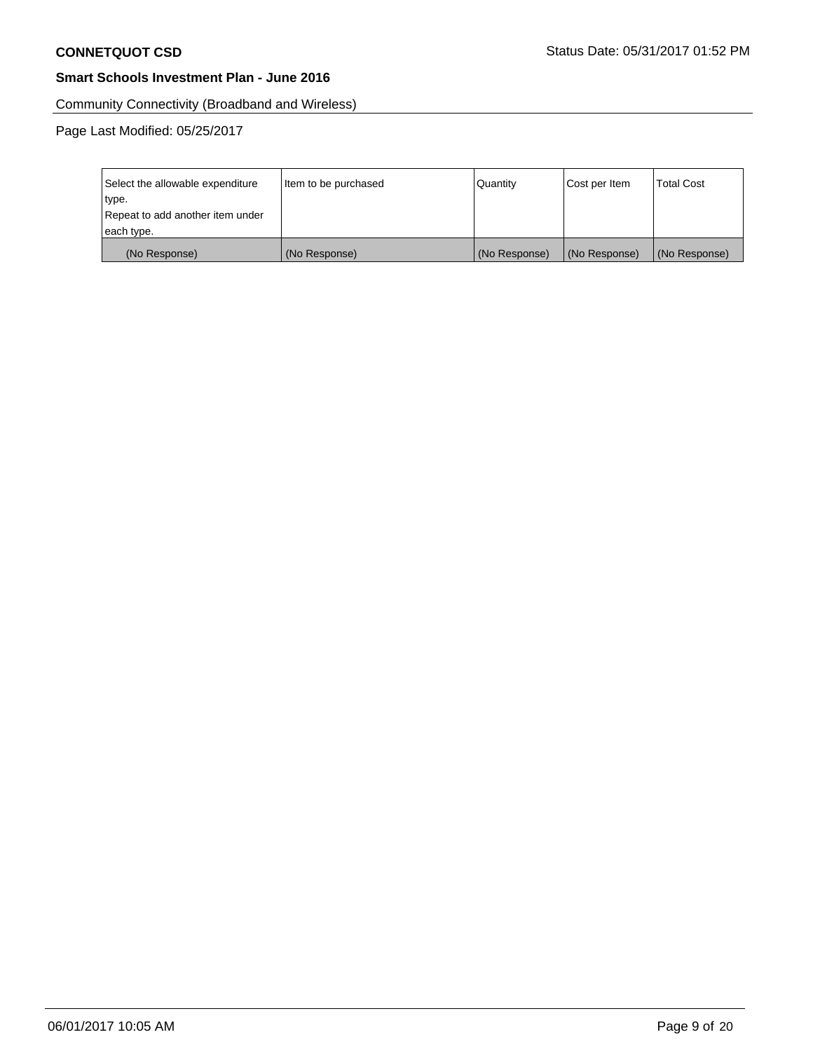Community Connectivity (Broadband and Wireless)

| Select the allowable expenditure | Item to be purchased | Quantity      | Cost per Item | <b>Total Cost</b> |
|----------------------------------|----------------------|---------------|---------------|-------------------|
| type.                            |                      |               |               |                   |
| Repeat to add another item under |                      |               |               |                   |
| each type.                       |                      |               |               |                   |
| (No Response)                    | (No Response)        | (No Response) | (No Response) | (No Response)     |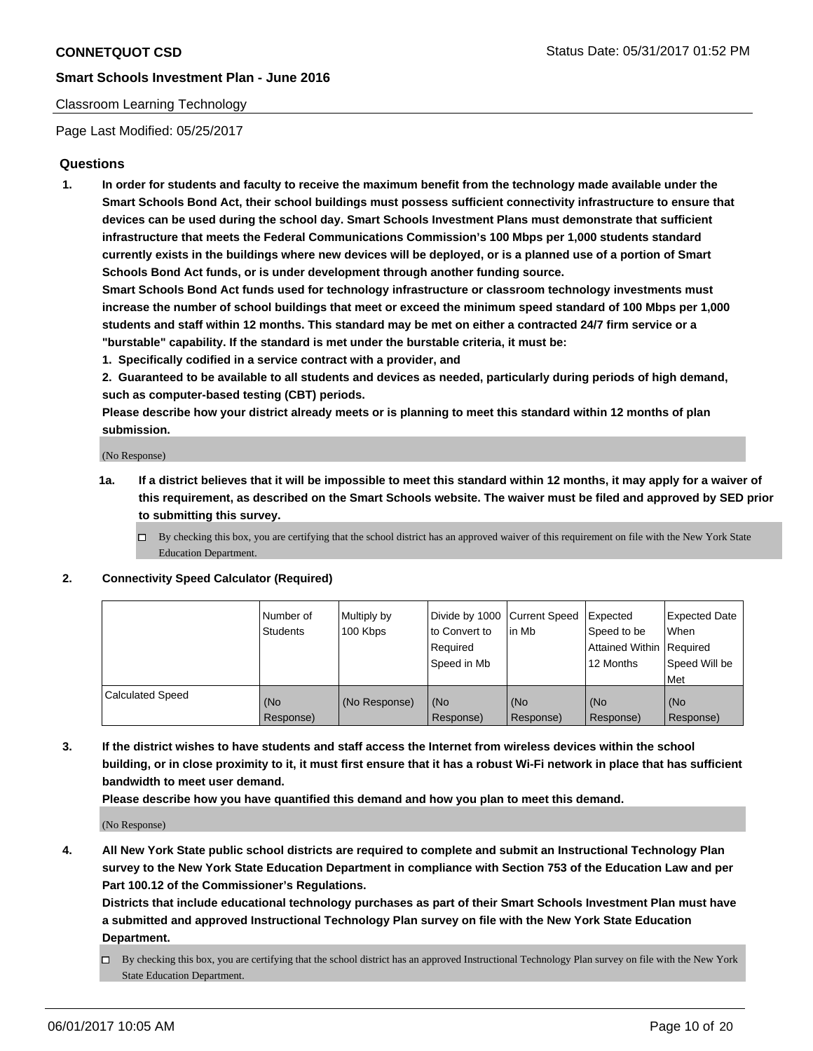#### Classroom Learning Technology

Page Last Modified: 05/25/2017

# **Questions**

**1. In order for students and faculty to receive the maximum benefit from the technology made available under the Smart Schools Bond Act, their school buildings must possess sufficient connectivity infrastructure to ensure that devices can be used during the school day. Smart Schools Investment Plans must demonstrate that sufficient infrastructure that meets the Federal Communications Commission's 100 Mbps per 1,000 students standard currently exists in the buildings where new devices will be deployed, or is a planned use of a portion of Smart Schools Bond Act funds, or is under development through another funding source.**

**Smart Schools Bond Act funds used for technology infrastructure or classroom technology investments must increase the number of school buildings that meet or exceed the minimum speed standard of 100 Mbps per 1,000 students and staff within 12 months. This standard may be met on either a contracted 24/7 firm service or a "burstable" capability. If the standard is met under the burstable criteria, it must be:**

- **1. Specifically codified in a service contract with a provider, and**
- **2. Guaranteed to be available to all students and devices as needed, particularly during periods of high demand, such as computer-based testing (CBT) periods.**

**Please describe how your district already meets or is planning to meet this standard within 12 months of plan submission.**

(No Response)

- **1a. If a district believes that it will be impossible to meet this standard within 12 months, it may apply for a waiver of this requirement, as described on the Smart Schools website. The waiver must be filed and approved by SED prior to submitting this survey.**
	- $\Box$  By checking this box, you are certifying that the school district has an approved waiver of this requirement on file with the New York State Education Department.

#### **2. Connectivity Speed Calculator (Required)**

|                         | l Number of<br>Students | Multiply by<br>100 Kbps | Divide by 1000   Current Speed<br>to Convert to<br>Required<br>Speed in Mb | l in Mb          | Expected<br>Speed to be<br>Attained Within Required<br>12 Months | <b>Expected Date</b><br>When<br>Speed Will be<br>Met |
|-------------------------|-------------------------|-------------------------|----------------------------------------------------------------------------|------------------|------------------------------------------------------------------|------------------------------------------------------|
| <b>Calculated Speed</b> | (No<br>Response)        | (No Response)           | (No<br>Response)                                                           | (No<br>Response) | (No<br>Response)                                                 | (No<br>Response)                                     |

**3. If the district wishes to have students and staff access the Internet from wireless devices within the school building, or in close proximity to it, it must first ensure that it has a robust Wi-Fi network in place that has sufficient bandwidth to meet user demand.**

**Please describe how you have quantified this demand and how you plan to meet this demand.**

(No Response)

**4. All New York State public school districts are required to complete and submit an Instructional Technology Plan survey to the New York State Education Department in compliance with Section 753 of the Education Law and per Part 100.12 of the Commissioner's Regulations.**

**Districts that include educational technology purchases as part of their Smart Schools Investment Plan must have a submitted and approved Instructional Technology Plan survey on file with the New York State Education Department.**

 $\Box$  By checking this box, you are certifying that the school district has an approved Instructional Technology Plan survey on file with the New York State Education Department.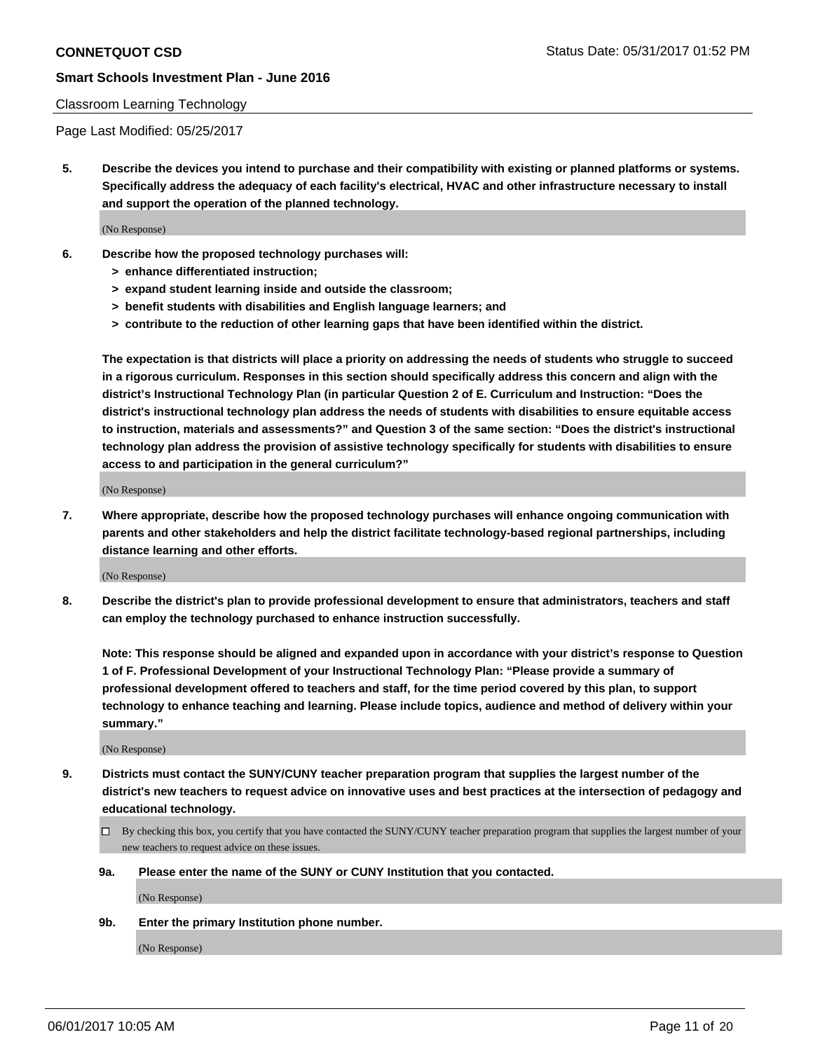#### Classroom Learning Technology

Page Last Modified: 05/25/2017

**5. Describe the devices you intend to purchase and their compatibility with existing or planned platforms or systems. Specifically address the adequacy of each facility's electrical, HVAC and other infrastructure necessary to install and support the operation of the planned technology.**

(No Response)

- **6. Describe how the proposed technology purchases will:**
	- **> enhance differentiated instruction;**
	- **> expand student learning inside and outside the classroom;**
	- **> benefit students with disabilities and English language learners; and**
	- **> contribute to the reduction of other learning gaps that have been identified within the district.**

**The expectation is that districts will place a priority on addressing the needs of students who struggle to succeed in a rigorous curriculum. Responses in this section should specifically address this concern and align with the district's Instructional Technology Plan (in particular Question 2 of E. Curriculum and Instruction: "Does the district's instructional technology plan address the needs of students with disabilities to ensure equitable access to instruction, materials and assessments?" and Question 3 of the same section: "Does the district's instructional technology plan address the provision of assistive technology specifically for students with disabilities to ensure access to and participation in the general curriculum?"**

(No Response)

**7. Where appropriate, describe how the proposed technology purchases will enhance ongoing communication with parents and other stakeholders and help the district facilitate technology-based regional partnerships, including distance learning and other efforts.**

(No Response)

**8. Describe the district's plan to provide professional development to ensure that administrators, teachers and staff can employ the technology purchased to enhance instruction successfully.**

**Note: This response should be aligned and expanded upon in accordance with your district's response to Question 1 of F. Professional Development of your Instructional Technology Plan: "Please provide a summary of professional development offered to teachers and staff, for the time period covered by this plan, to support technology to enhance teaching and learning. Please include topics, audience and method of delivery within your summary."**

(No Response)

- **9. Districts must contact the SUNY/CUNY teacher preparation program that supplies the largest number of the district's new teachers to request advice on innovative uses and best practices at the intersection of pedagogy and educational technology.**
	- By checking this box, you certify that you have contacted the SUNY/CUNY teacher preparation program that supplies the largest number of your new teachers to request advice on these issues.
	- **9a. Please enter the name of the SUNY or CUNY Institution that you contacted.**

(No Response)

**9b. Enter the primary Institution phone number.**

(No Response)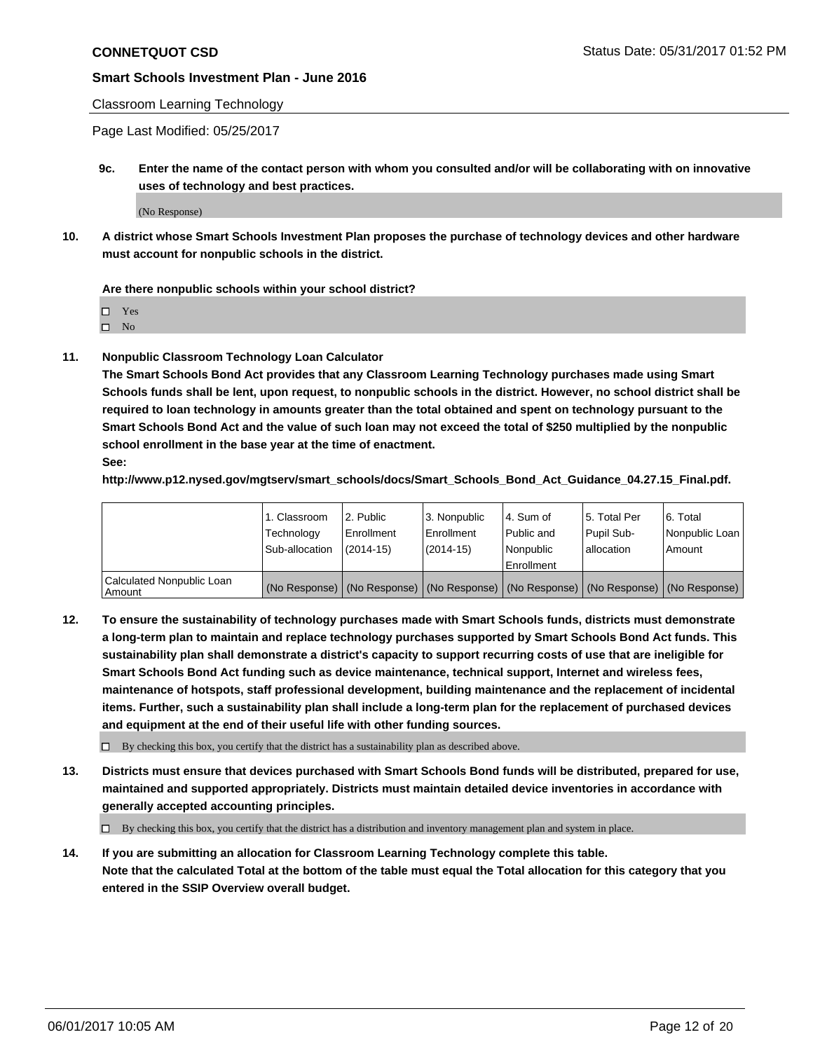## Classroom Learning Technology

Page Last Modified: 05/25/2017

**9c. Enter the name of the contact person with whom you consulted and/or will be collaborating with on innovative uses of technology and best practices.**

(No Response)

**10. A district whose Smart Schools Investment Plan proposes the purchase of technology devices and other hardware must account for nonpublic schools in the district.**

**Are there nonpublic schools within your school district?**

Yes

 $\square$  No

**11. Nonpublic Classroom Technology Loan Calculator**

**The Smart Schools Bond Act provides that any Classroom Learning Technology purchases made using Smart Schools funds shall be lent, upon request, to nonpublic schools in the district. However, no school district shall be required to loan technology in amounts greater than the total obtained and spent on technology pursuant to the Smart Schools Bond Act and the value of such loan may not exceed the total of \$250 multiplied by the nonpublic school enrollment in the base year at the time of enactment.**

**See:**

**http://www.p12.nysed.gov/mgtserv/smart\_schools/docs/Smart\_Schools\_Bond\_Act\_Guidance\_04.27.15\_Final.pdf.**

|                                       | 1. Classroom   | 2. Public  | 3. Nonpublic | l 4. Sum of | l 5. Total Per | l 6. Total                                                                                    |
|---------------------------------------|----------------|------------|--------------|-------------|----------------|-----------------------------------------------------------------------------------------------|
|                                       | Technology     | Enrollment | Enrollment   | Public and  | Pupil Sub-     | Nonpublic Loan                                                                                |
|                                       | Sub-allocation | (2014-15)  | (2014-15)    | l Nonpublic | allocation     | Amount                                                                                        |
|                                       |                |            |              | Enrollment  |                |                                                                                               |
| Calculated Nonpublic Loan<br>  Amount |                |            |              |             |                | (No Response)   (No Response)   (No Response)   (No Response)   (No Response)   (No Response) |

**12. To ensure the sustainability of technology purchases made with Smart Schools funds, districts must demonstrate a long-term plan to maintain and replace technology purchases supported by Smart Schools Bond Act funds. This sustainability plan shall demonstrate a district's capacity to support recurring costs of use that are ineligible for Smart Schools Bond Act funding such as device maintenance, technical support, Internet and wireless fees, maintenance of hotspots, staff professional development, building maintenance and the replacement of incidental items. Further, such a sustainability plan shall include a long-term plan for the replacement of purchased devices and equipment at the end of their useful life with other funding sources.**

 $\Box$  By checking this box, you certify that the district has a sustainability plan as described above.

**13. Districts must ensure that devices purchased with Smart Schools Bond funds will be distributed, prepared for use, maintained and supported appropriately. Districts must maintain detailed device inventories in accordance with generally accepted accounting principles.**

By checking this box, you certify that the district has a distribution and inventory management plan and system in place.

**14. If you are submitting an allocation for Classroom Learning Technology complete this table. Note that the calculated Total at the bottom of the table must equal the Total allocation for this category that you entered in the SSIP Overview overall budget.**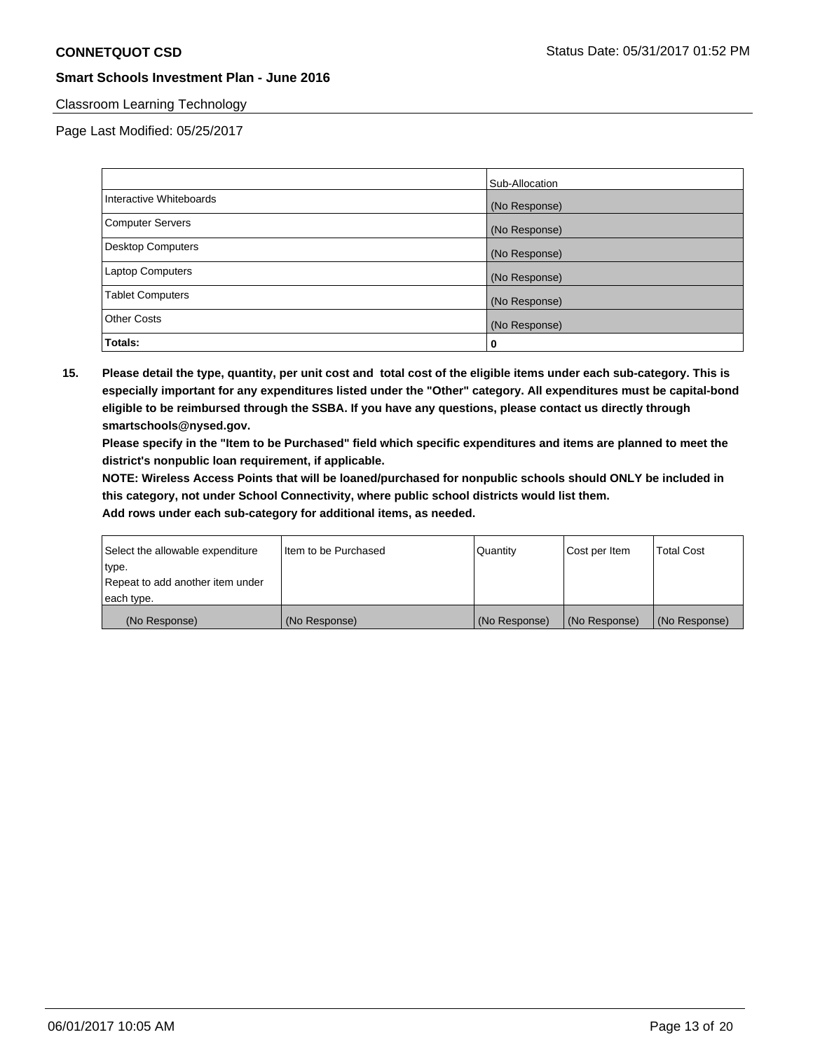# Classroom Learning Technology

Page Last Modified: 05/25/2017

|                         | Sub-Allocation |
|-------------------------|----------------|
| Interactive Whiteboards | (No Response)  |
| Computer Servers        | (No Response)  |
| Desktop Computers       | (No Response)  |
| <b>Laptop Computers</b> | (No Response)  |
| <b>Tablet Computers</b> | (No Response)  |
| <b>Other Costs</b>      | (No Response)  |
| Totals:                 | 0              |

**15. Please detail the type, quantity, per unit cost and total cost of the eligible items under each sub-category. This is especially important for any expenditures listed under the "Other" category. All expenditures must be capital-bond eligible to be reimbursed through the SSBA. If you have any questions, please contact us directly through smartschools@nysed.gov.**

**Please specify in the "Item to be Purchased" field which specific expenditures and items are planned to meet the district's nonpublic loan requirement, if applicable.**

**NOTE: Wireless Access Points that will be loaned/purchased for nonpublic schools should ONLY be included in this category, not under School Connectivity, where public school districts would list them.**

| type.<br>Repeat to add another item under |               |               |               |               |
|-------------------------------------------|---------------|---------------|---------------|---------------|
| each type.                                |               |               |               |               |
| (No Response)                             | (No Response) | (No Response) | (No Response) | (No Response) |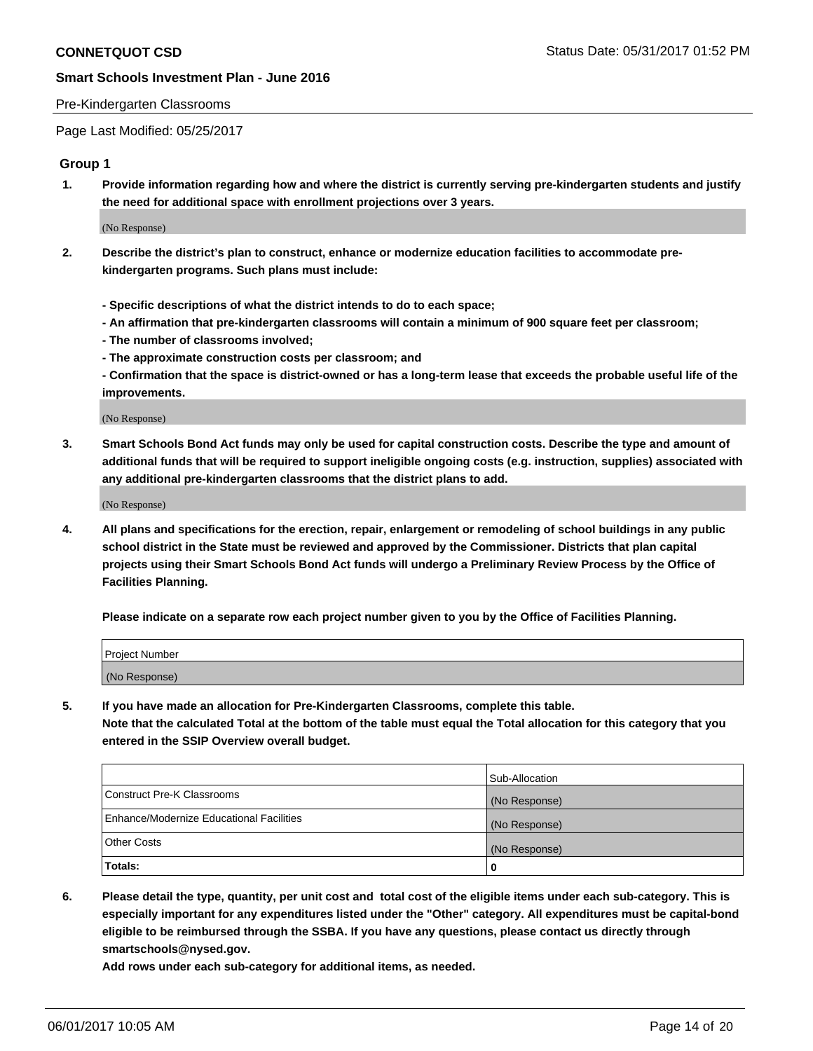#### Pre-Kindergarten Classrooms

Page Last Modified: 05/25/2017

## **Group 1**

**1. Provide information regarding how and where the district is currently serving pre-kindergarten students and justify the need for additional space with enrollment projections over 3 years.**

(No Response)

- **2. Describe the district's plan to construct, enhance or modernize education facilities to accommodate prekindergarten programs. Such plans must include:**
	- **Specific descriptions of what the district intends to do to each space;**
	- **An affirmation that pre-kindergarten classrooms will contain a minimum of 900 square feet per classroom;**
	- **The number of classrooms involved;**
	- **The approximate construction costs per classroom; and**
	- **Confirmation that the space is district-owned or has a long-term lease that exceeds the probable useful life of the improvements.**

(No Response)

**3. Smart Schools Bond Act funds may only be used for capital construction costs. Describe the type and amount of additional funds that will be required to support ineligible ongoing costs (e.g. instruction, supplies) associated with any additional pre-kindergarten classrooms that the district plans to add.**

(No Response)

**4. All plans and specifications for the erection, repair, enlargement or remodeling of school buildings in any public school district in the State must be reviewed and approved by the Commissioner. Districts that plan capital projects using their Smart Schools Bond Act funds will undergo a Preliminary Review Process by the Office of Facilities Planning.**

**Please indicate on a separate row each project number given to you by the Office of Facilities Planning.**

| Project Number |  |
|----------------|--|
| (No Response)  |  |

**5. If you have made an allocation for Pre-Kindergarten Classrooms, complete this table. Note that the calculated Total at the bottom of the table must equal the Total allocation for this category that you entered in the SSIP Overview overall budget.**

| Totals:                                  | 0              |
|------------------------------------------|----------------|
| Other Costs                              | (No Response)  |
| Enhance/Modernize Educational Facilities | (No Response)  |
| Construct Pre-K Classrooms               | (No Response)  |
|                                          | Sub-Allocation |

**6. Please detail the type, quantity, per unit cost and total cost of the eligible items under each sub-category. This is especially important for any expenditures listed under the "Other" category. All expenditures must be capital-bond eligible to be reimbursed through the SSBA. If you have any questions, please contact us directly through smartschools@nysed.gov.**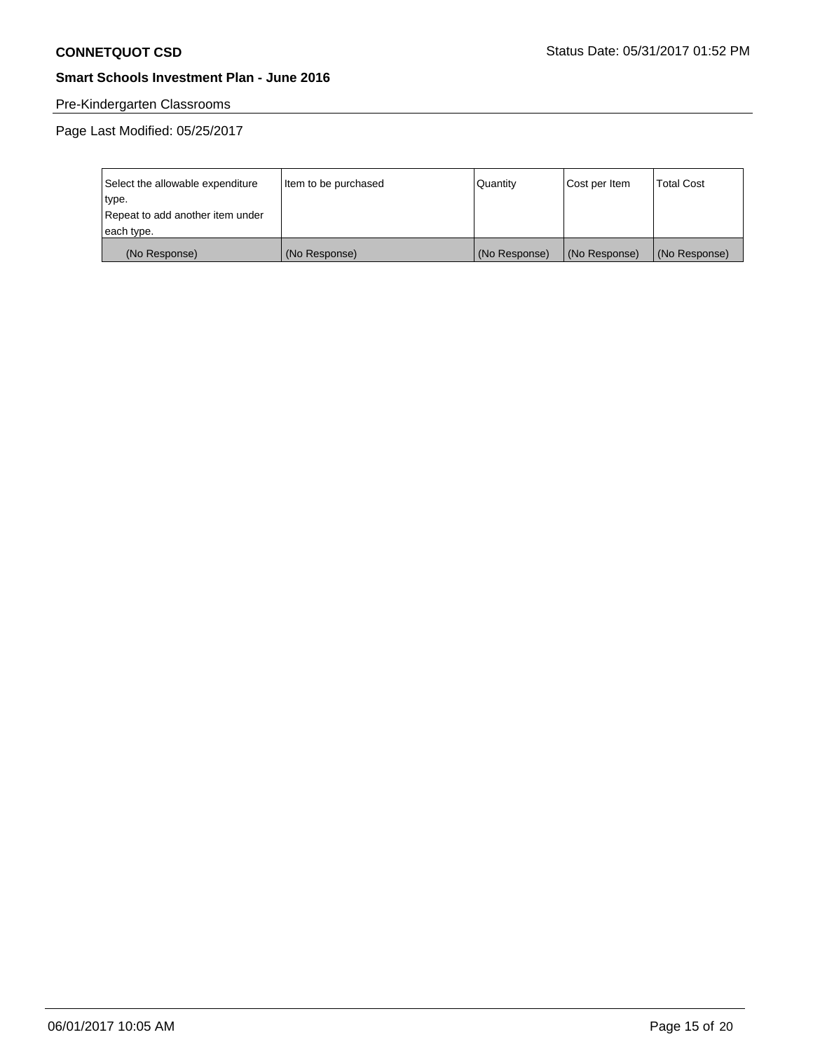# Pre-Kindergarten Classrooms

| Select the allowable expenditure | Item to be purchased | Quantity      | Cost per Item | <b>Total Cost</b> |
|----------------------------------|----------------------|---------------|---------------|-------------------|
| type.                            |                      |               |               |                   |
| Repeat to add another item under |                      |               |               |                   |
| each type.                       |                      |               |               |                   |
| (No Response)                    | (No Response)        | (No Response) | (No Response) | (No Response)     |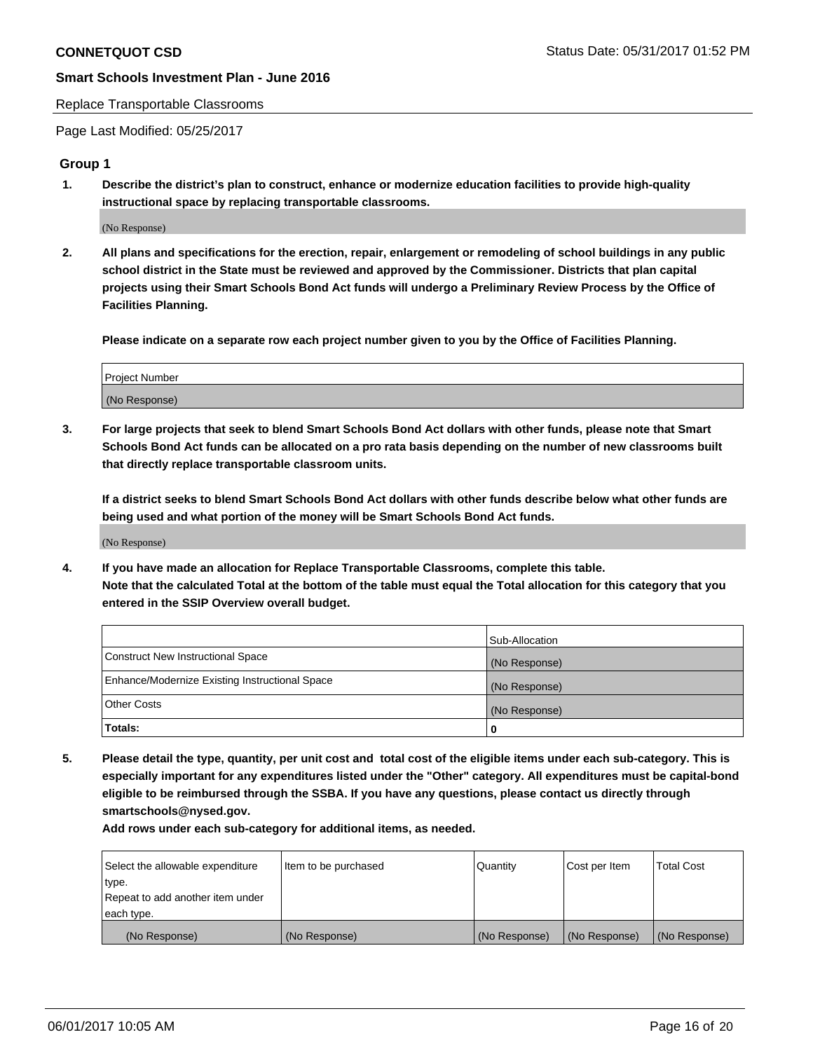#### Replace Transportable Classrooms

Page Last Modified: 05/25/2017

## **Group 1**

**1. Describe the district's plan to construct, enhance or modernize education facilities to provide high-quality instructional space by replacing transportable classrooms.**

(No Response)

**2. All plans and specifications for the erection, repair, enlargement or remodeling of school buildings in any public school district in the State must be reviewed and approved by the Commissioner. Districts that plan capital projects using their Smart Schools Bond Act funds will undergo a Preliminary Review Process by the Office of Facilities Planning.**

**Please indicate on a separate row each project number given to you by the Office of Facilities Planning.**

| Project Number |  |
|----------------|--|
| (No Response)  |  |

**3. For large projects that seek to blend Smart Schools Bond Act dollars with other funds, please note that Smart Schools Bond Act funds can be allocated on a pro rata basis depending on the number of new classrooms built that directly replace transportable classroom units.**

**If a district seeks to blend Smart Schools Bond Act dollars with other funds describe below what other funds are being used and what portion of the money will be Smart Schools Bond Act funds.**

(No Response)

**4. If you have made an allocation for Replace Transportable Classrooms, complete this table. Note that the calculated Total at the bottom of the table must equal the Total allocation for this category that you entered in the SSIP Overview overall budget.**

|                                                | Sub-Allocation |
|------------------------------------------------|----------------|
| Construct New Instructional Space              | (No Response)  |
| Enhance/Modernize Existing Instructional Space | (No Response)  |
| Other Costs                                    | (No Response)  |
| Totals:                                        | $\Omega$       |

**5. Please detail the type, quantity, per unit cost and total cost of the eligible items under each sub-category. This is especially important for any expenditures listed under the "Other" category. All expenditures must be capital-bond eligible to be reimbursed through the SSBA. If you have any questions, please contact us directly through smartschools@nysed.gov.**

| Select the allowable expenditure | Item to be purchased | Quantity      | Cost per Item | <b>Total Cost</b> |
|----------------------------------|----------------------|---------------|---------------|-------------------|
| type.                            |                      |               |               |                   |
| Repeat to add another item under |                      |               |               |                   |
| each type.                       |                      |               |               |                   |
| (No Response)                    | (No Response)        | (No Response) | (No Response) | (No Response)     |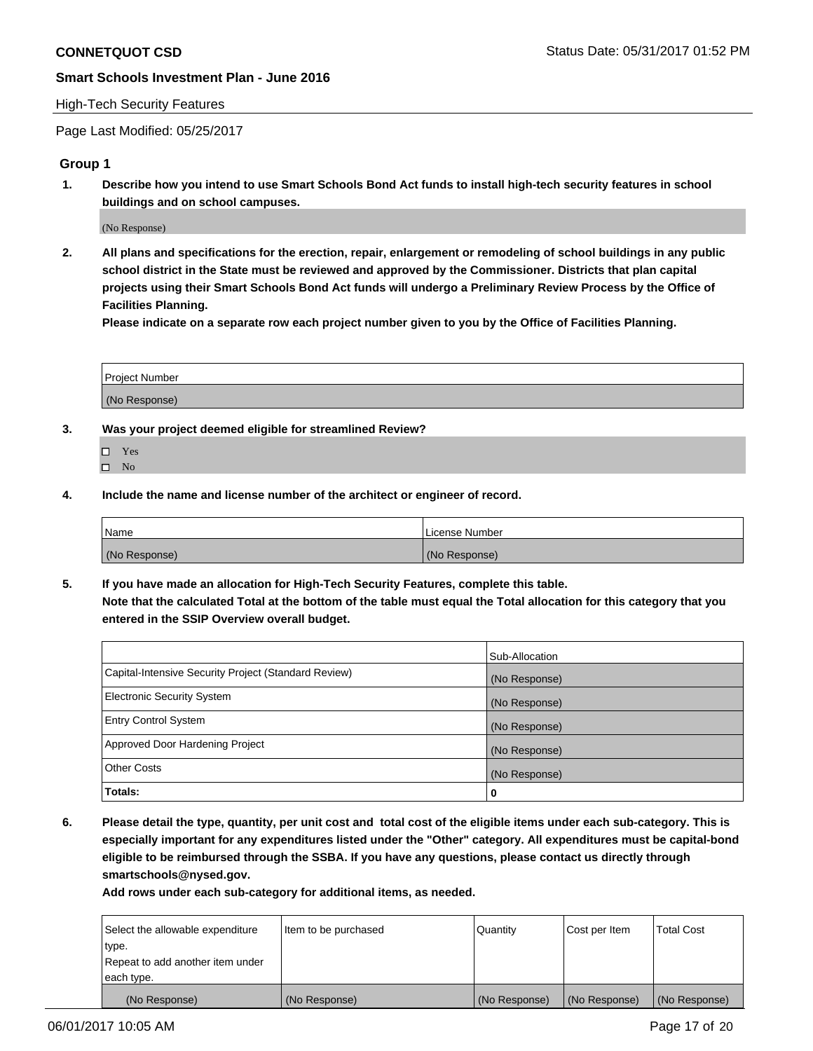#### High-Tech Security Features

Page Last Modified: 05/25/2017

# **Group 1**

**1. Describe how you intend to use Smart Schools Bond Act funds to install high-tech security features in school buildings and on school campuses.**

(No Response)

**2. All plans and specifications for the erection, repair, enlargement or remodeling of school buildings in any public school district in the State must be reviewed and approved by the Commissioner. Districts that plan capital projects using their Smart Schools Bond Act funds will undergo a Preliminary Review Process by the Office of Facilities Planning.** 

**Please indicate on a separate row each project number given to you by the Office of Facilities Planning.**

| Project Number |  |
|----------------|--|
|                |  |
| (No Response)  |  |

- **3. Was your project deemed eligible for streamlined Review?**
	- Yes  $\hfill \square$  No
- **4. Include the name and license number of the architect or engineer of record.**

| Name          | License Number |
|---------------|----------------|
| (No Response) | (No Response)  |

**5. If you have made an allocation for High-Tech Security Features, complete this table. Note that the calculated Total at the bottom of the table must equal the Total allocation for this category that you entered in the SSIP Overview overall budget.**

|                                                      | Sub-Allocation |
|------------------------------------------------------|----------------|
| Capital-Intensive Security Project (Standard Review) | (No Response)  |
| Electronic Security System                           | (No Response)  |
| <b>Entry Control System</b>                          | (No Response)  |
| Approved Door Hardening Project                      | (No Response)  |
| <b>Other Costs</b>                                   | (No Response)  |
| Totals:                                              | 0              |

**6. Please detail the type, quantity, per unit cost and total cost of the eligible items under each sub-category. This is especially important for any expenditures listed under the "Other" category. All expenditures must be capital-bond eligible to be reimbursed through the SSBA. If you have any questions, please contact us directly through smartschools@nysed.gov.**

| (No Response)                    | (No Response)        | (No Response) | (No Response) | (No Response)     |
|----------------------------------|----------------------|---------------|---------------|-------------------|
| each type.                       |                      |               |               |                   |
| Repeat to add another item under |                      |               |               |                   |
| type.                            |                      |               |               |                   |
| Select the allowable expenditure | Item to be purchased | Quantity      | Cost per Item | <b>Total Cost</b> |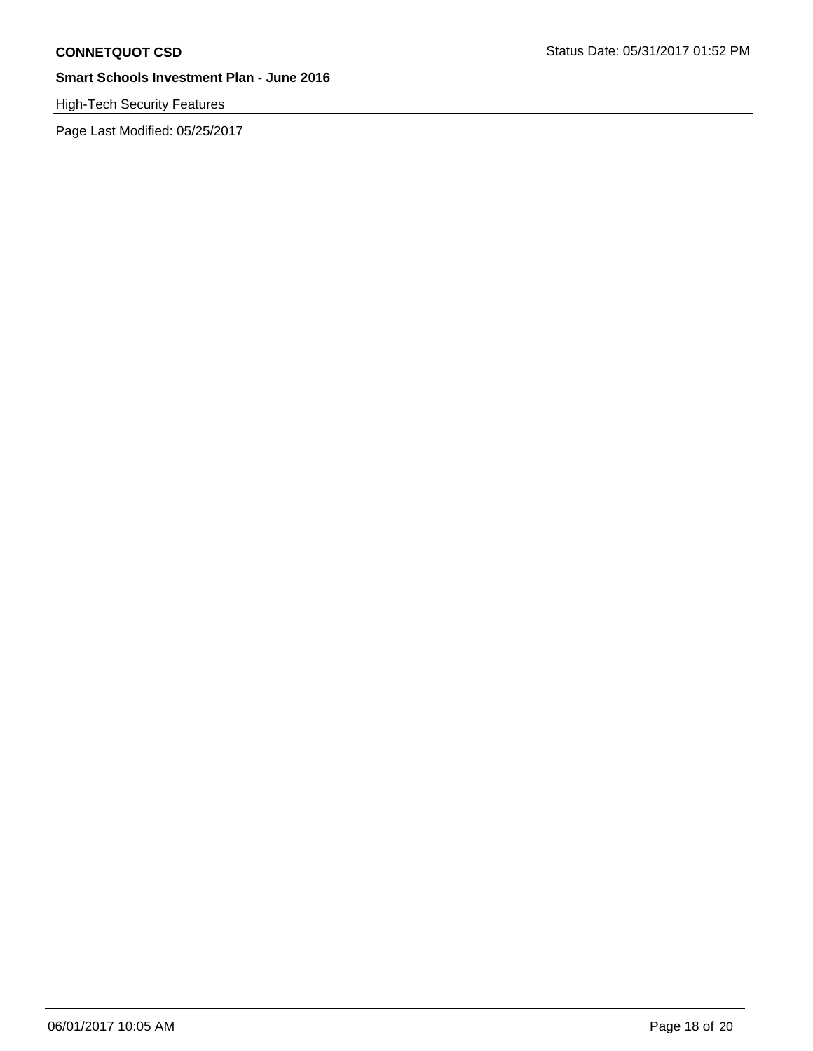# High-Tech Security Features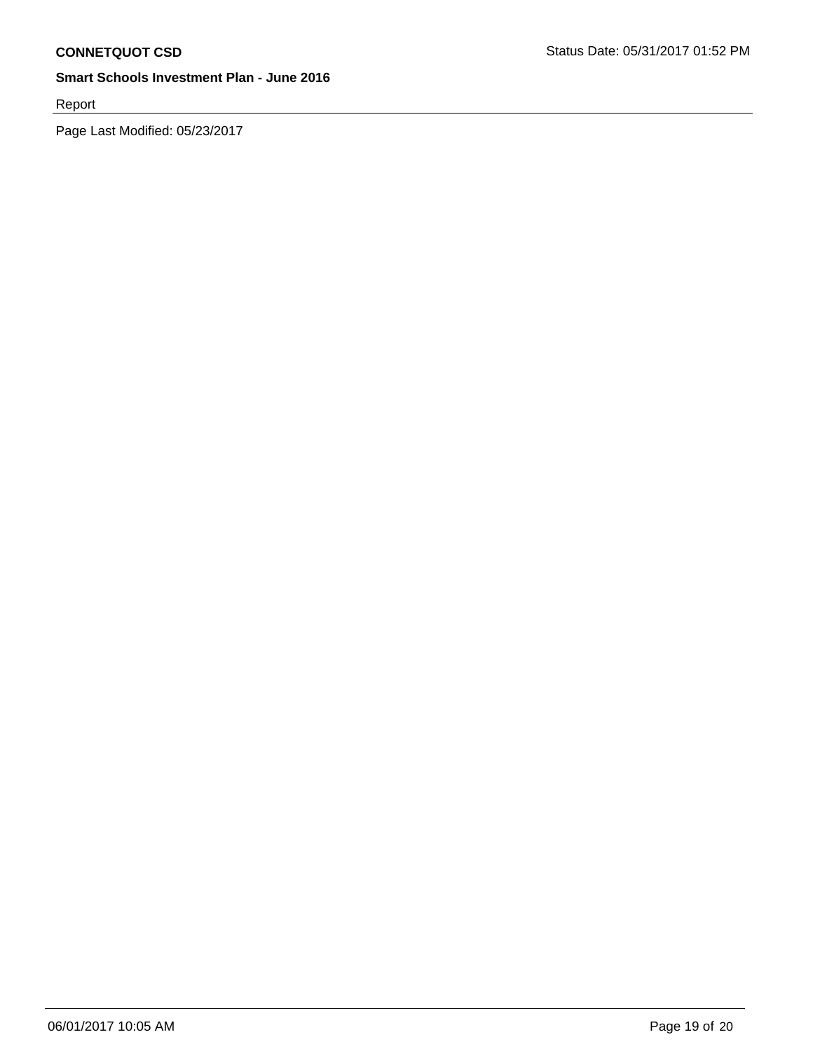Report